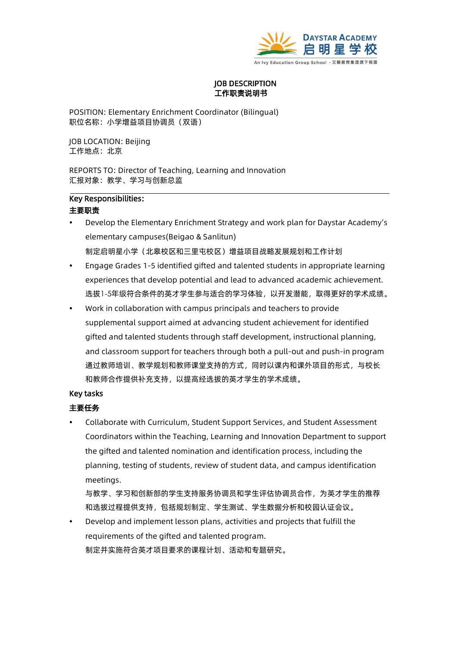

#### **JOB DESCRIPTION** 工作职责说明书

POSITION: Elementary Enrichment Coordinator (Bilingual) 职位名称:小学增益项目协调员(双语)

JOB LOCATION: Beijing 工作地点:北京

REPORTS TO: Director of Teaching, Learning and Innovation 汇报对象:教学、学习与创新总监

# Key Responsibilities:

#### 主要职责

- Develop the Elementary Enrichment Strategy and work plan for Daystar Academy's elementary campuses(Beigao & Sanlitun) 制定启明星小学(北皋校区和三里屯校区)增益项目战略发展规划和工作计划
- Engage Grades 1-5 identified gifted and talented students in appropriate learning experiences that develop potential and lead to advanced academic achievement. 选拔1-5年级符合条件的英才学生参与适合的学习体验,以开发潜能,取得更好的学术成绩。
- Work in collaboration with campus principals and teachers to provide supplemental support aimed at advancing student achievement for identified gifted and talented students through staff development, instructional planning, and classroom support for teachers through both a pull-out and push-in program 通过教师培训、教学规划和教师课堂支持的方式,同时以课内和课外项目的形式,与校长 和教师合作提供补充支持,以提高经选拔的英才学生的学术成绩。

#### Key tasks

## 主要任务

 Collaborate with Curriculum, Student Support Services, and Student Assessment Coordinators within the Teaching, Learning and Innovation Department to support the gifted and talented nomination and identification process, including the planning, testing of students, review of student data, and campus identification meetings.

与教学、学习和创新部的学生支持服务协调员和学生评估协调员合作,为英才学生的推荐 和选拔过程提供支持,包括规划制定、学生测试、学生数据分析和校园认证会议。

 Develop and implement lesson plans, activities and projects that fulfill the requirements of the gifted and talented program. 制定并实施符合英才项目要求的课程计划、活动和专题研究。